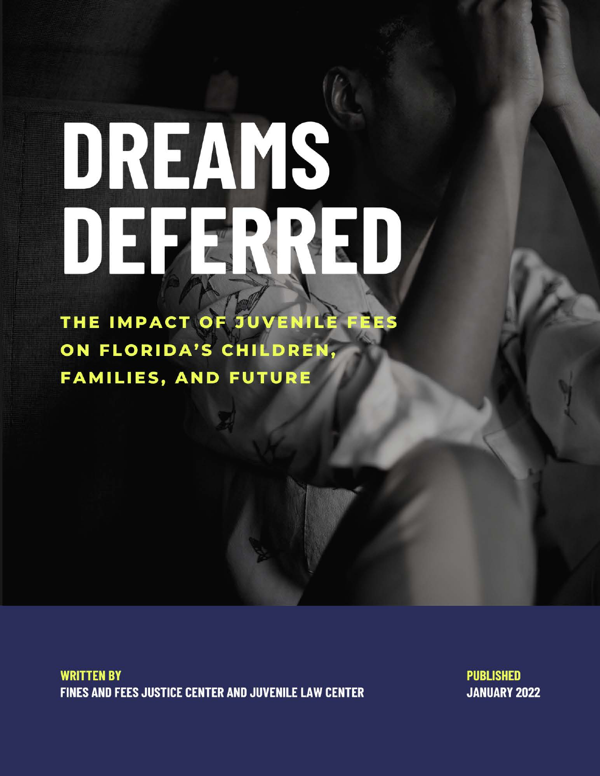# DREAMS DEFENRED

THE IMPACT OF JUVENILE FEES ON FLORIDA'S CHILDREN, **FAMILIES, AND FUTURE** 

**WRITTEN BY FINES AND FEES JUSTICE CENTER AND JUVENILE LAW CENTER**  **PUBLISHED JANUARY 2022**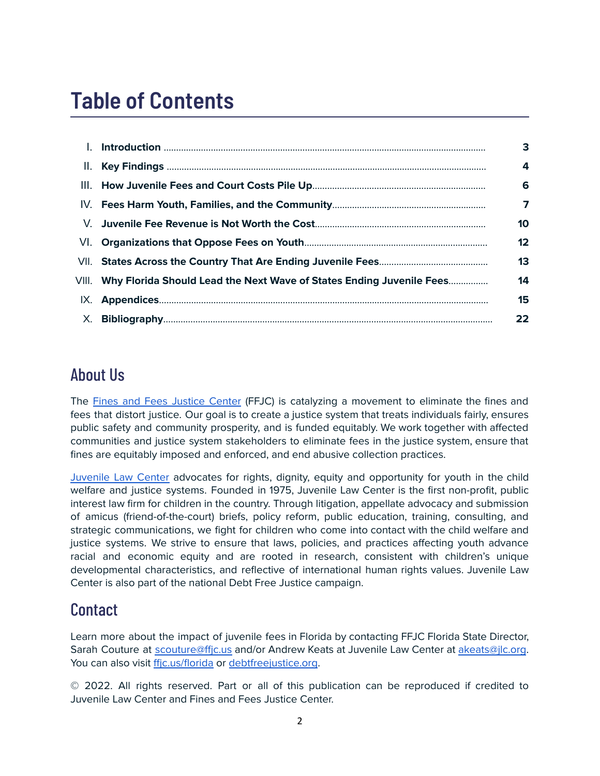# **Table of Contents**

| L.  |                                                                            | 3  |
|-----|----------------------------------------------------------------------------|----|
| II. |                                                                            | 4  |
|     |                                                                            | 6  |
|     |                                                                            | 7  |
|     |                                                                            | 10 |
|     |                                                                            | 12 |
|     |                                                                            | 13 |
|     | VIII. Why Florida Should Lead the Next Wave of States Ending Juvenile Fees | 14 |
|     |                                                                            | 15 |
|     |                                                                            | 22 |

#### About Us

The Fines and Fees [Justice](https://finesandfeesjusticecenter.org/) Center (FFJC) is catalyzing a movement to eliminate the fines and fees that distort justice. Our goal is to create a justice system that treats individuals fairly, ensures public safety and community prosperity, and is funded equitably. We work together with affected communities and justice system stakeholders to eliminate fees in the justice system, ensure that fines are equitably imposed and enforced, and end abusive collection practices.

[Juvenile](https://jlc.org/) Law Center advocates for rights, dignity, equity and opportunity for youth in the child welfare and justice systems. Founded in 1975, Juvenile Law Center is the first non-profit, public interest law firm for children in the country. Through litigation, appellate advocacy and submission of amicus (friend-of-the-court) briefs, policy reform, public education, training, consulting, and strategic communications, we fight for children who come into contact with the child welfare and justice systems. We strive to ensure that laws, policies, and practices affecting youth advance racial and economic equity and are rooted in research, consistent with children's unique developmental characteristics, and reflective of international human rights values. Juvenile Law Center is also part of the national Debt Free Justice campaign.

#### **Contact**

Learn more about the impact of juvenile fees in Florida by contacting FFJC Florida State Director, Sarah Couture at [scouture@ffjc.us](mailto:scouture@ffjc.us) and/or Andrew Keats at Juvenile Law Center at [akeats@jlc.org](mailto:akeats@jlc.org). You can also visit [ffjc.us/florida](https://ffjc.us/florida) or [debtfreejustice.org](https://debtfreejustice.org).

© 2022. All rights reserved. Part or all of this publication can be reproduced if credited to Juvenile Law Center and Fines and Fees Justice Center.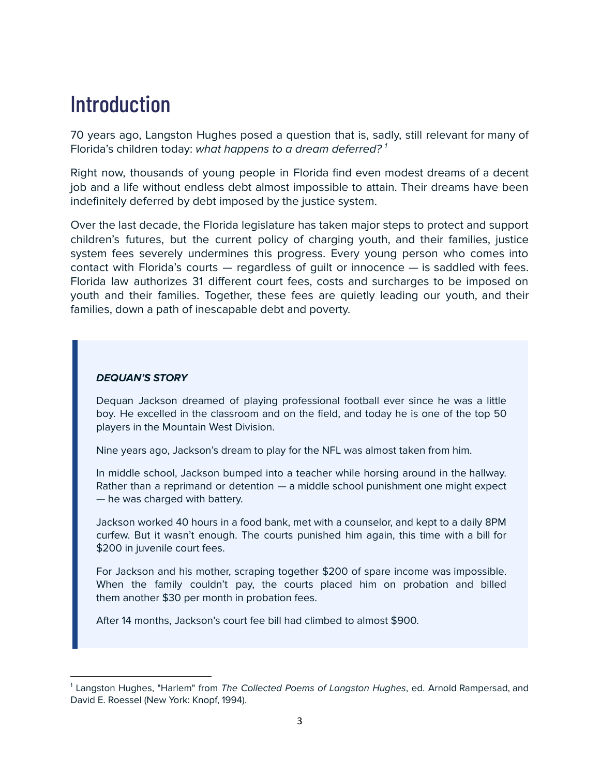## **Introduction**

70 years ago, Langston Hughes posed a question that is, sadly, still relevant for many of Florida's children today: what happens to a dream deferred?<sup>1</sup>

Right now, thousands of young people in Florida find even modest dreams of a decent job and a life without endless debt almost impossible to attain. Their dreams have been indefinitely deferred by debt imposed by the justice system.

Over the last decade, the Florida legislature has taken major steps to protect and support children's futures, but the current policy of charging youth, and their families, justice system fees severely undermines this progress. Every young person who comes into contact with Florida's courts — regardless of guilt or innocence — is saddled with fees. Florida law authorizes 31 different court fees, costs and surcharges to be imposed on youth and their families. Together, these fees are quietly leading our youth, and their families, down a path of inescapable debt and poverty.

#### **DEQUAN'S STORY**

Dequan Jackson dreamed of playing professional football ever since he was a little boy. He excelled in the classroom and on the field, and today he is one of the top 50 players in the Mountain West Division.

Nine years ago, Jackson's dream to play for the NFL was almost taken from him.

In middle school, Jackson bumped into a teacher while horsing around in the hallway. Rather than a reprimand or detention — a middle school punishment one might expect — he was charged with battery.

Jackson worked 40 hours in a food bank, met with a counselor, and kept to a daily 8PM curfew. But it wasn't enough. The courts punished him again, this time with a bill for \$200 in juvenile court fees.

For Jackson and his mother, scraping together \$200 of spare income was impossible. When the family couldn't pay, the courts placed him on probation and billed them another \$30 per month in probation fees.

After 14 months, Jackson's court fee bill had climbed to almost \$900.

 $<sup>1</sup>$  Langston Hughes, "Harlem" from The Collected Poems of Langston Hughes, ed. Arnold Rampersad, and</sup> David E. Roessel (New York: Knopf, 1994).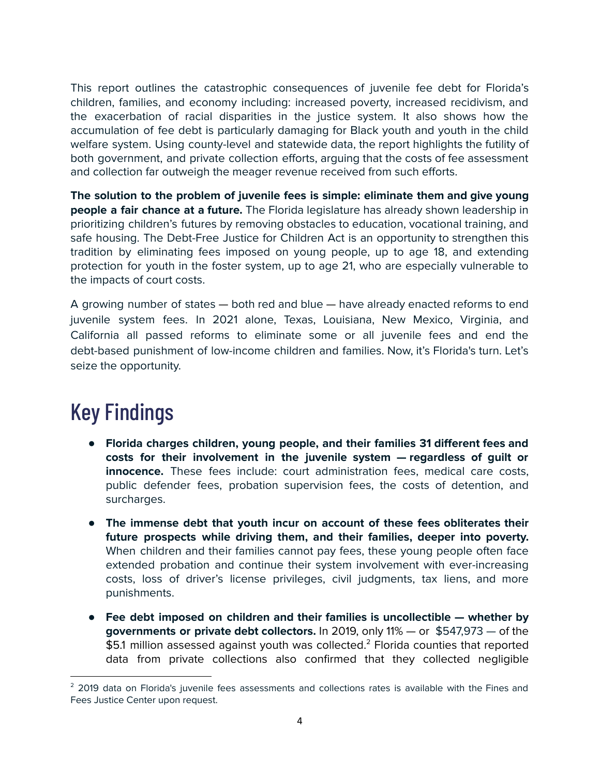This report outlines the catastrophic consequences of juvenile fee debt for Florida's children, families, and economy including: increased poverty, increased recidivism, and the exacerbation of racial disparities in the justice system. It also shows how the accumulation of fee debt is particularly damaging for Black youth and youth in the child welfare system. Using county-level and statewide data, the report highlights the futility of both government, and private collection efforts, arguing that the costs of fee assessment and collection far outweigh the meager revenue received from such efforts.

**The solution to the problem of juvenile fees is simple: eliminate them and give young people a fair chance at a future.** The Florida legislature has already shown leadership in prioritizing children's futures by removing obstacles to education, vocational training, and safe housing. The Debt-Free Justice for Children Act is an opportunity to strengthen this tradition by eliminating fees imposed on young people, up to age 18, and extending protection for youth in the foster system, up to age 21, who are especially vulnerable to the impacts of court costs.

A growing number of states — both red and blue — have already enacted reforms to end juvenile system fees. In 2021 alone, Texas, Louisiana, New Mexico, Virginia, and California all passed reforms to eliminate some or all juvenile fees and end the debt-based punishment of low-income children and families. Now, it's Florida's turn. Let's seize the opportunity.

## Key Findings

- **Florida charges children, young people, and their families 31 different fees and costs for their involvement in the juvenile system — regardless of guilt or innocence.** These fees include: court administration fees, medical care costs, public defender fees, probation supervision fees, the costs of detention, and surcharges.
- **The immense debt that youth incur on account of these fees obliterates their future prospects while driving them, and their families, deeper into poverty.** When children and their families cannot pay fees, these young people often face extended probation and continue their system involvement with ever-increasing costs, loss of driver's license privileges, civil judgments, tax liens, and more punishments.
- **Fee debt imposed on children and their families is uncollectible — whether by governments or private debt collectors.** In 2019, only 11% — or \$547,973 — of the  $$5.1$  million assessed against youth was collected. $^2$  Florida counties that reported data from private collections also confirmed that they collected negligible

<sup>&</sup>lt;sup>2</sup> 2019 data on Florida's juvenile fees assessments and collections rates is available with the Fines and Fees Justice Center upon request.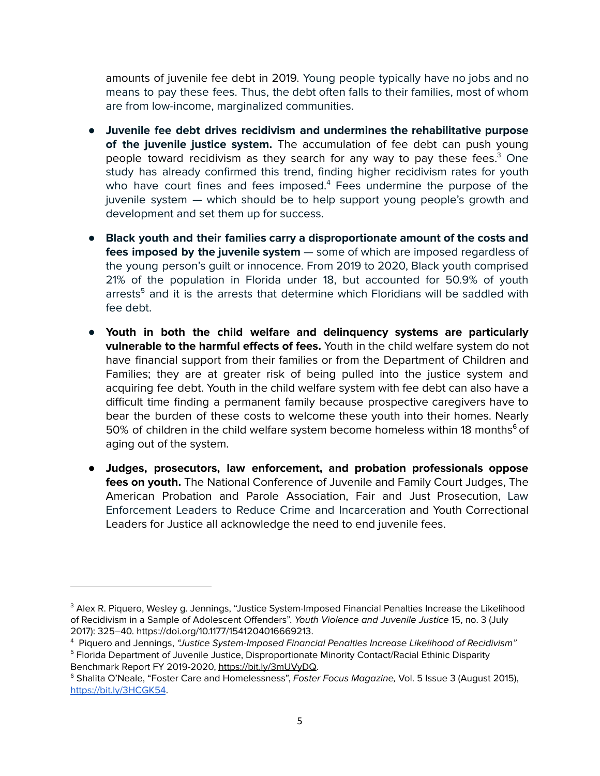amounts of juvenile fee debt in 2019. Young people typically have no jobs and no means to pay these fees. Thus, the debt often falls to their families, most of whom are from low-income, marginalized communities.

- **Juvenile fee debt drives recidivism and undermines the rehabilitative purpose of the juvenile justice system.** The accumulation of fee debt can push young people toward recidivism as they search for any way to pay these fees.<sup>3</sup> One study has already confirmed this trend, finding higher recidivism rates for youth who have court fines and fees imposed.<sup>4</sup> Fees undermine the purpose of the juvenile system — which should be to help support young people's growth and development and set them up for success.
- **Black youth and their families carry a disproportionate amount of the costs and fees imposed by the juvenile system** — some of which are imposed regardless of the young person's guilt or innocence. From 2019 to 2020, Black youth comprised 21% of the population in Florida under 18, but accounted for 50.9% of youth arrests $5$  and it is the arrests that determine which Floridians will be saddled with fee debt.
- **Youth in both the child welfare and delinquency systems are particularly vulnerable to the harmful effects of fees.** Youth in the child welfare system do not have financial support from their families or from the Department of Children and Families; they are at greater risk of being pulled into the justice system and acquiring fee debt. Youth in the child welfare system with fee debt can also have a difficult time finding a permanent family because prospective caregivers have to bear the burden of these costs to welcome these youth into their homes. Nearly 50% of children in the child welfare system become homeless within 18 months $^6$  of aging out of the system.
- **● Judges, prosecutors, law enforcement, and probation professionals oppose fees on youth.** The National Conference of Juvenile and Family Court Judges, The American Probation and Parole Association, Fair and Just Prosecution, Law Enforcement Leaders to Reduce Crime and Incarceration and Youth Correctional Leaders for Justice all acknowledge the need to end juvenile fees.

Benchmark Report FY 2019-2020, <https://bit.ly/3mUVyDQ>.

<sup>&</sup>lt;sup>3</sup> Alex R. Piquero, Wesley g. Jennings, "Justice System-Imposed Financial Penalties Increase the Likelihood of Recidivism in a Sample of Adolescent Offenders". Youth Violence and Juvenile Justice 15, no. 3 (July 2017): 325–40. https://doi.org/10.1177/1541204016669213.

<sup>&</sup>lt;sup>5</sup> Florida Department of Juvenile Justice, Disproportionate Minority Contact/Racial Ethinic Disparity <sup>4</sup> Piquero and Jennings, "Justice System-Imposed Financial Penalties Increase Likelihood of Recidivism"

<sup>&</sup>lt;sup>6</sup> Shalita O'Neale, "Foster Care and Homelessness", Foster Focus Magazine, Vol. 5 Issue 3 (August 2015), <https://bit.ly/3HCGK54>.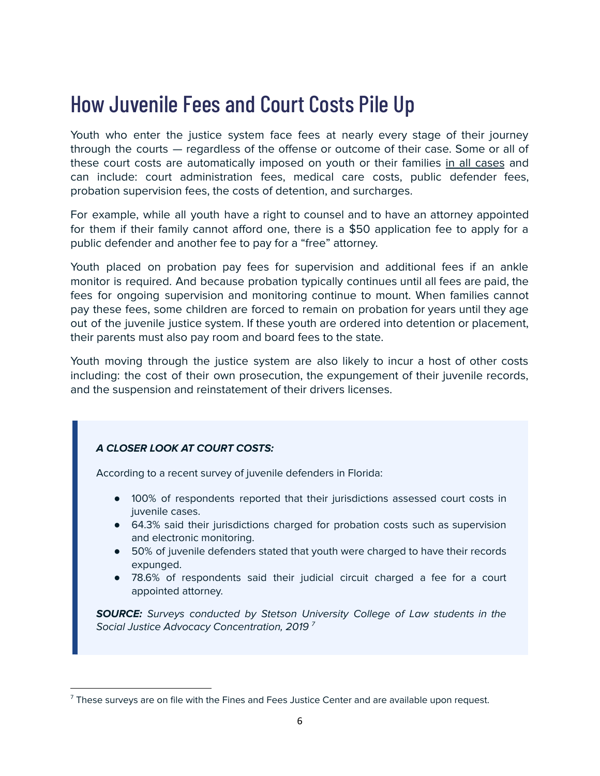## How Juvenile Fees and Court Costs Pile Up

Youth who enter the justice system face fees at nearly every stage of their journey through the courts — regardless of the offense or outcome of their case. Some or all of these court costs are automatically imposed on youth or their families in all cases and can include: court administration fees, medical care costs, public defender fees, probation supervision fees, the costs of detention, and surcharges.

For example, while all youth have a right to counsel and to have an attorney appointed for them if their family cannot afford one, there is a \$50 application fee to apply for a public defender and another fee to pay for a "free" attorney.

Youth placed on probation pay fees for supervision and additional fees if an ankle monitor is required. And because probation typically continues until all fees are paid, the fees for ongoing supervision and monitoring continue to mount. When families cannot pay these fees, some children are forced to remain on probation for years until they age out of the juvenile justice system. If these youth are ordered into detention or placement, their parents must also pay room and board fees to the state.

Youth moving through the justice system are also likely to incur a host of other costs including: the cost of their own prosecution, the expungement of their juvenile records, and the suspension and reinstatement of their drivers licenses.

#### **A CLOSER LOOK AT COURT COSTS:**

According to a recent survey of juvenile defenders in Florida:

- 100% of respondents reported that their jurisdictions assessed court costs in juvenile cases.
- 64.3% said their jurisdictions charged for probation costs such as supervision and electronic monitoring.
- 50% of juvenile defenders stated that youth were charged to have their records expunged.
- 78.6% of respondents said their judicial circuit charged a fee for a court appointed attorney.

**SOURCE:** Surveys conducted by Stetson University College of Law students in the Social Justice Advocacy Concentration, 2019  $^7$ 

 $<sup>7</sup>$  These surveys are on file with the Fines and Fees Justice Center and are available upon request.</sup>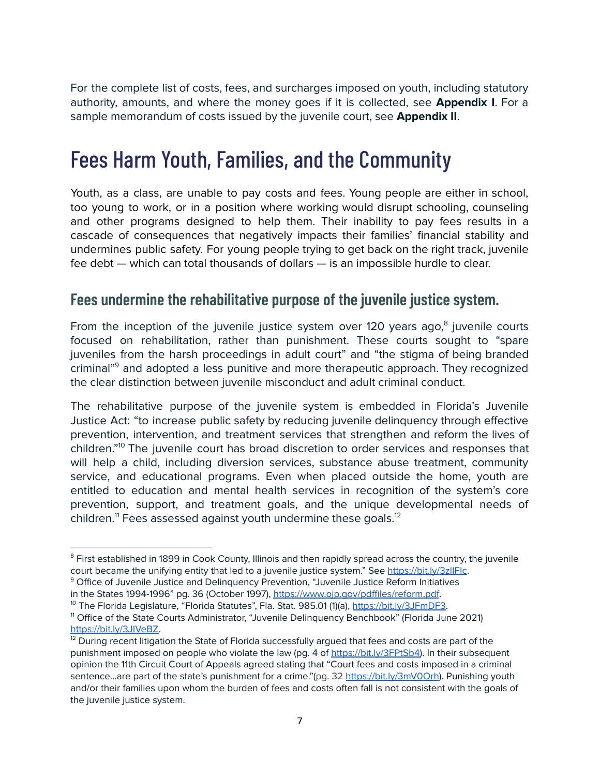For the complete list of costs, fees, and surcharges imposed on youth, including statutory authority, amounts, and where the money goes if it is collected, see **Appendix I**. For a sample memorandum of costs issued by the juvenile court, see **Appendix II**.

## Fees Harm Youth, Families, and the Community

Youth, as a class, are unable to pay costs and fees. Young people are either in school, too young to work, or in a position where working would disrupt schooling, counseling and other programs designed to help them. Their inability to pay fees results in a cascade of consequences that negatively impacts their families' financial stability and undermines public safety. For young people trying to get back on the right track, juvenile fee debt — which can total thousands of dollars — is an impossible hurdle to clear.

#### **Fees undermine the rehabilitative purpose of the juvenile justice system.**

From the inception of the juvenile justice system over 120 years ago, $<sup>8</sup>$  juvenile courts</sup> focused on rehabilitation, rather than punishment. These courts sought to "spare juveniles from the harsh proceedings in adult court" and "the stigma of being branded criminal"<sup>9</sup> and adopted a less punitive and more therapeutic approach. They recognized the clear distinction between juvenile misconduct and adult criminal conduct.

The rehabilitative purpose of the juvenile system is embedded in Florida's Juvenile Justice Act: "to increase public safety by reducing juvenile delinquency through effective prevention, intervention, and treatment services that strengthen and reform the lives of children."<sup>10</sup> The juvenile court has broad discretion to order services and responses that will help a child, including diversion services, substance abuse treatment, community service, and educational programs. Even when placed outside the home, youth are entitled to education and mental health services in recognition of the system's core prevention, support, and treatment goals, and the unique developmental needs of children.<sup>11</sup> Fees assessed against youth undermine these goals.<sup>12</sup>

<sup>&</sup>lt;sup>8</sup> First established in 1899 in Cook County, Illinois and then rapidly spread across the country, the juvenile court became the unifying entity that led to a juvenile justice system." See https://bit.ly/3zllFlc.

<sup>&</sup>lt;sup>9</sup> Office of Juvenile Justice and Delinquency Prevention, "Juvenile Justice Reform Initiatives in the States 1994-1996" pg. 36 (October 1997), <https://www.ojp.gov/pdffiles/reform.pdf>.

<sup>&</sup>lt;sup>10</sup> The Florida Legislature, "Florida Statutes", Fla. Stat. 985.01 (1)(a), <https://bit.ly/3JFmDF3>.

<sup>11</sup> Office of the State Courts Administrator, "Juvenile Delinquency Benchbook" (Florida June 2021) [https://bit.ly/3JIVeBZ.](https://bit.ly/3JIVeBZ)

 $12$  During recent litigation the State of Florida successfully argued that fees and costs are part of the punishment imposed on people who violate the law (pg. 4 of [https://bit.ly/3FPtSb4\)](https://bit.ly/3FPtSb4). In their subsequent opinion the 11th Circuit Court of Appeals agreed stating that "Court fees and costs imposed in a criminal sentence...are part of the state's punishment for a crime."(pg. 32 <https://bit.ly/3mV0Orh>). Punishing youth and/or their families upon whom the burden of fees and costs often fall is not consistent with the goals of the juvenile justice system.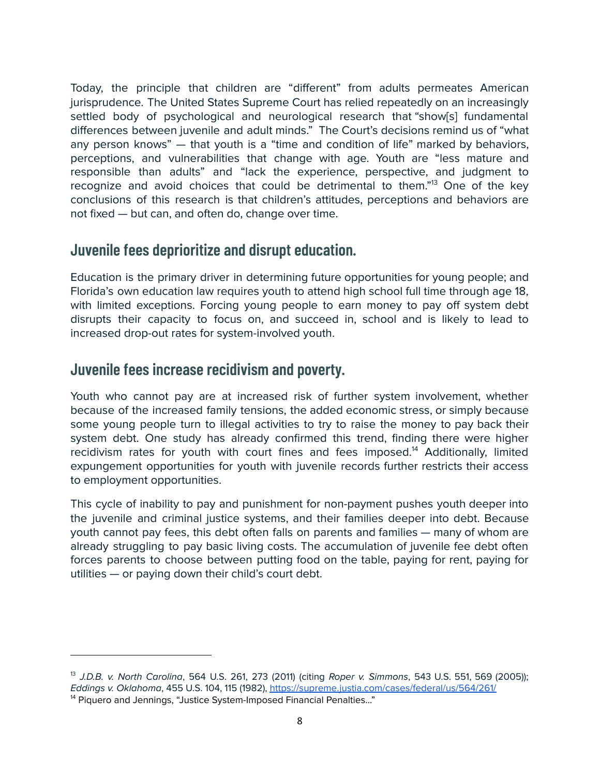Today, the principle that children are "different" from adults permeates American jurisprudence. The United States Supreme Court has relied repeatedly on an increasingly settled body of psychological and neurological research that "show[s] fundamental differences between juvenile and adult minds." The Court's decisions remind us of "what any person knows" — that youth is a "time and condition of life" marked by behaviors, perceptions, and vulnerabilities that change with age. Youth are "less mature and responsible than adults" and "lack the experience, perspective, and judgment to recognize and avoid choices that could be detrimental to them."<sup>13</sup> One of the key conclusions of this research is that children's attitudes, perceptions and behaviors are not fixed — but can, and often do, change over time.

#### **Juvenile fees deprioritize and disrupt education.**

Education is the primary driver in determining future opportunities for young people; and Florida's own education law requires youth to attend high school full time through age 18, with limited exceptions. Forcing young people to earn money to pay off system debt disrupts their capacity to focus on, and succeed in, school and is likely to lead to increased drop-out rates for system-involved youth.

#### **Juvenile fees increase recidivism and poverty.**

Youth who cannot pay are at increased risk of further system involvement, whether because of the increased family tensions, the added economic stress, or simply because some young people turn to illegal activities to try to raise the money to pay back their system debt. One study has already confirmed this trend, finding there were higher recidivism rates for youth with court fines and fees imposed.<sup>14</sup> Additionally, limited expungement opportunities for youth with juvenile records further restricts their access to employment opportunities.

This cycle of inability to pay and punishment for non-payment pushes youth deeper into the juvenile and criminal justice systems, and their families deeper into debt. Because youth cannot pay fees, this debt often falls on parents and families — many of whom are already struggling to pay basic living costs. The accumulation of juvenile fee debt often forces parents to choose between putting food on the table, paying for rent, paying for utilities — or paying down their child's court debt.

<sup>&</sup>lt;sup>14</sup> Piquero and Jennings, "Justice System-Imposed Financial Penalties..." <sup>13</sup> J.D.B. v. North Carolina, 564 U.S. 261, 273 (2011) (citing Roper v. Simmons, 543 U.S. 551, 569 (2005)); Eddings v. Oklahoma, 455 U.S. 104, 115 (1982), <https://supreme.justia.com/cases/federal/us/564/261/>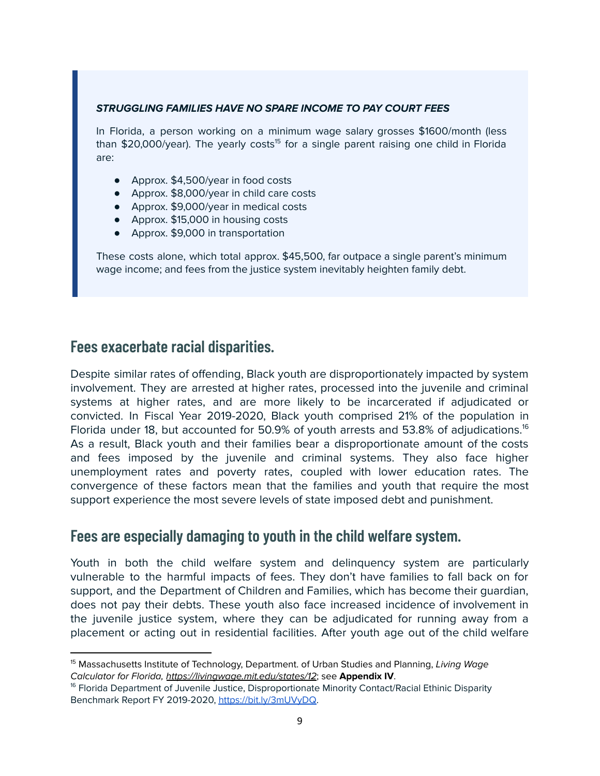#### **STRUGGLING FAMILIES HAVE NO SPARE INCOME TO PAY COURT FEES**

In Florida, a person working on a minimum wage salary grosses \$1600/month (less than \$20,000/year). The yearly costs<sup>15</sup> for a single parent raising one child in Florida are:

- Approx. \$4,500/year in food costs
- Approx. \$8,000/year in child care costs
- Approx. \$9,000/year in medical costs
- Approx. \$15,000 in housing costs
- Approx. \$9,000 in transportation

These costs alone, which total approx. \$45,500, far outpace a single parent's minimum wage income; and fees from the justice system inevitably heighten family debt.

#### **Fees exacerbate racial disparities.**

Despite similar rates of offending, Black youth are disproportionately impacted by system involvement. They are arrested at higher rates, processed into the juvenile and criminal systems at higher rates, and are more likely to be incarcerated if adjudicated or convicted. In Fiscal Year 2019-2020, Black youth comprised 21% of the population in Florida under 18, but accounted for 50.9% of youth arrests and 53.8% of adjudications.<sup>16</sup> As a result, Black youth and their families bear a disproportionate amount of the costs and fees imposed by the juvenile and criminal systems. They also face higher unemployment rates and poverty rates, coupled with lower education rates. The convergence of these factors mean that the families and youth that require the most support experience the most severe levels of state imposed debt and punishment.

#### **Fees are especially damaging to youth in the child welfare system.**

Youth in both the child welfare system and delinquency system are particularly vulnerable to the harmful impacts of fees. They don't have families to fall back on for support, and the Department of Children and Families, which has become their guardian, does not pay their debts. These youth also face increased incidence of involvement in the juvenile justice system, where they can be adjudicated for running away from a placement or acting out in residential facilities. After youth age out of the child welfare

<sup>&</sup>lt;sup>15</sup> Massachusetts Institute of Technology, Department. of Urban Studies and Planning, Living Wage Calculator for Florida, <https://livingwage.mit.edu/states/12>; see **Appendix IV**.

<sup>&</sup>lt;sup>16</sup> Florida Department of Juvenile Justice, Disproportionate Minority Contact/Racial Ethinic Disparity Benchmark Report FY 2019-2020, <https://bit.ly/3mUVyDQ>.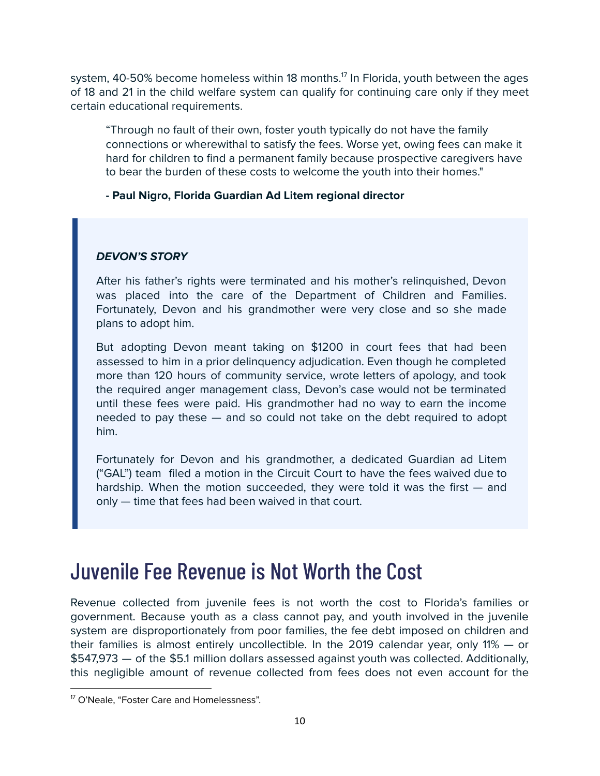system, 40-50% become homeless within 18 months. $^{17}$  In Florida, youth between the ages of 18 and 21 in the child welfare system can qualify for continuing care only if they meet certain educational requirements.

"Through no fault of their own, foster youth typically do not have the family connections or wherewithal to satisfy the fees. Worse yet, owing fees can make it hard for children to find a permanent family because prospective caregivers have to bear the burden of these costs to welcome the youth into their homes."

**- Paul Nigro, Florida Guardian Ad Litem regional director**

#### **DEVON'S STORY**

After his father's rights were terminated and his mother's relinquished, Devon was placed into the care of the Department of Children and Families. Fortunately, Devon and his grandmother were very close and so she made plans to adopt him.

But adopting Devon meant taking on \$1200 in court fees that had been assessed to him in a prior delinquency adjudication. Even though he completed more than 120 hours of community service, wrote letters of apology, and took the required anger management class, Devon's case would not be terminated until these fees were paid. His grandmother had no way to earn the income needed to pay these — and so could not take on the debt required to adopt him.

Fortunately for Devon and his grandmother, a dedicated Guardian ad Litem ("GAL") team filed a motion in the Circuit Court to have the fees waived due to hardship. When the motion succeeded, they were told it was the first — and only — time that fees had been waived in that court.

## Juvenile Fee Revenue is Not Worth the Cost

Revenue collected from juvenile fees is not worth the cost to Florida's families or government. Because youth as a class cannot pay, and youth involved in the juvenile system are disproportionately from poor families, the fee debt imposed on children and their families is almost entirely uncollectible. In the 2019 calendar year, only 11% — or \$547,973 — of the \$5.1 million dollars assessed against youth was collected. Additionally, this negligible amount of revenue collected from fees does not even account for the

<sup>&</sup>lt;sup>17</sup> O'Neale, "Foster Care and Homelessness".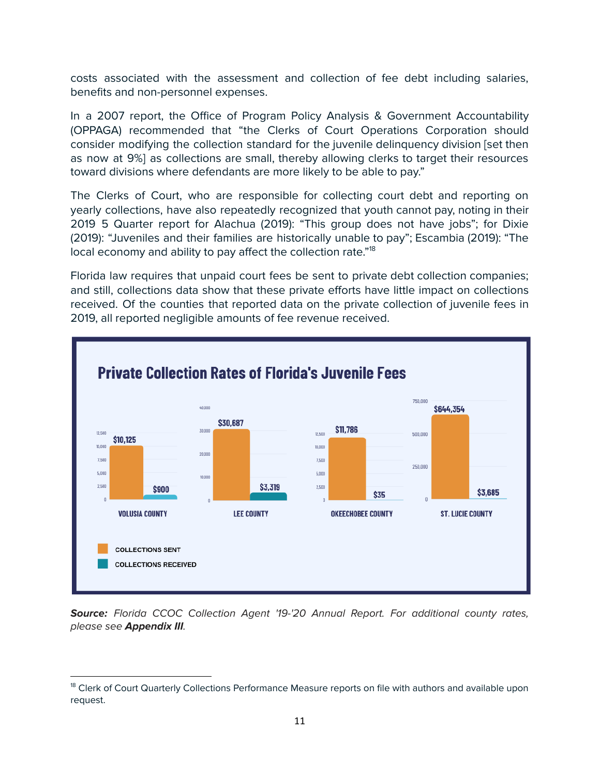costs associated with the assessment and collection of fee debt including salaries, benefits and non-personnel expenses.

In a 2007 report, the Office of Program Policy Analysis & Government Accountability (OPPAGA) recommended that "the Clerks of Court Operations Corporation should consider modifying the collection standard for the juvenile delinquency division [set then as now at 9%] as collections are small, thereby allowing clerks to target their resources toward divisions where defendants are more likely to be able to pay."

The Clerks of Court, who are responsible for collecting court debt and reporting on yearly collections, have also repeatedly recognized that youth cannot pay, noting in their 2019 5 Quarter report for Alachua (2019): "This group does not have jobs"; for Dixie (2019): "Juveniles and their families are historically unable to pay"; Escambia (2019): "The local economy and ability to pay affect the collection rate."<sup>18</sup>

Florida law requires that unpaid court fees be sent to private debt collection companies; and still, collections data show that these private efforts have little impact on collections received. Of the counties that reported data on the private collection of juvenile fees in 2019, all reported negligible amounts of fee revenue received.



Source: Florida CCOC Collection Agent '19-'20 Annual Report. For additional county rates, please see **Appendix III**.

<sup>&</sup>lt;sup>18</sup> Clerk of Court Quarterly Collections Performance Measure reports on file with authors and available upon request.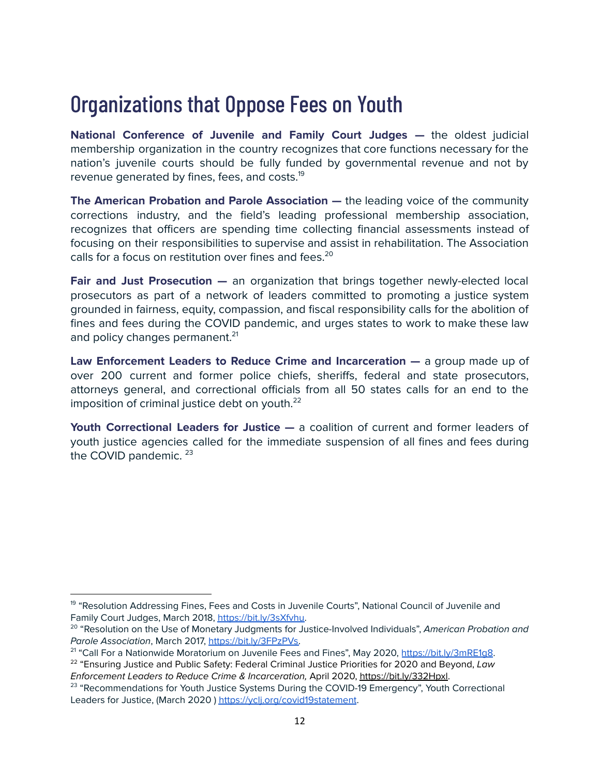## Organizations that Oppose Fees on Youth

**National Conference of Juvenile and Family Court Judges —** the oldest judicial membership organization in the country recognizes that core functions necessary for the nation's juvenile courts should be fully funded by governmental revenue and not by revenue generated by fines, fees, and costs.<sup>19</sup>

**The American Probation and Parole Association —** the leading voice of the community corrections industry, and the field's leading professional membership association, recognizes that officers are spending time collecting financial assessments instead of focusing on their responsibilities to supervise and assist in rehabilitation. The Association calls for a focus on restitution over fines and fees. 20

**Fair and Just Prosecution —** an organization that brings together newly-elected local prosecutors as part of a network of leaders committed to promoting a justice system grounded in fairness, equity, compassion, and fiscal responsibility calls for the abolition of fines and fees during the COVID pandemic, and urges states to work to make these law and policy changes permanent.<sup>21</sup>

**Law Enforcement Leaders to Reduce Crime and Incarceration —** a group made up of over 200 current and former police chiefs, sheriffs, federal and state prosecutors, attorneys general, and correctional officials from all 50 states calls for an end to the imposition of criminal justice debt on youth. $^{22}$ 

**Youth Correctional Leaders for Justice —** a coalition of current and former leaders of youth justice agencies called for the immediate suspension of all fines and fees during the COVID pandemic.<sup>23</sup>

<sup>&</sup>lt;sup>19</sup> "Resolution Addressing Fines, Fees and Costs in Juvenile Courts", National Council of Juvenile and Family Court Judges, March 2018, [https://bit.ly/3sXfvhu.](https://bit.ly/3sXfvhu)

<sup>&</sup>lt;sup>20</sup> "Resolution on the Use of Monetary Judgments for Justice-Involved Individuals", American Probation and Parole Association, March 2017, [https://bit.ly/3FPzPVs.](https://bit.ly/3FPzPVs)

<sup>&</sup>lt;sup>21</sup> "Call For a Nationwide Moratorium on Juvenile Fees and Fines", May 2020, <u><https://bit.ly/3mRE1g8></u>.

 $^{22}$  "Ensuring Justice and Public Safety: Federal Criminal Justice Priorities for 2020 and Beyond, Law Enforcement Leaders to Reduce Crime & Incarceration, April 2020, <https://bit.ly/332Hpxl>.

<sup>&</sup>lt;sup>23</sup> "Recommendations for Youth Justice Systems During the COVID-19 Emergency", Youth Correctional Leaders for Justice, (March 2020) https://ycli.org/covid19statement.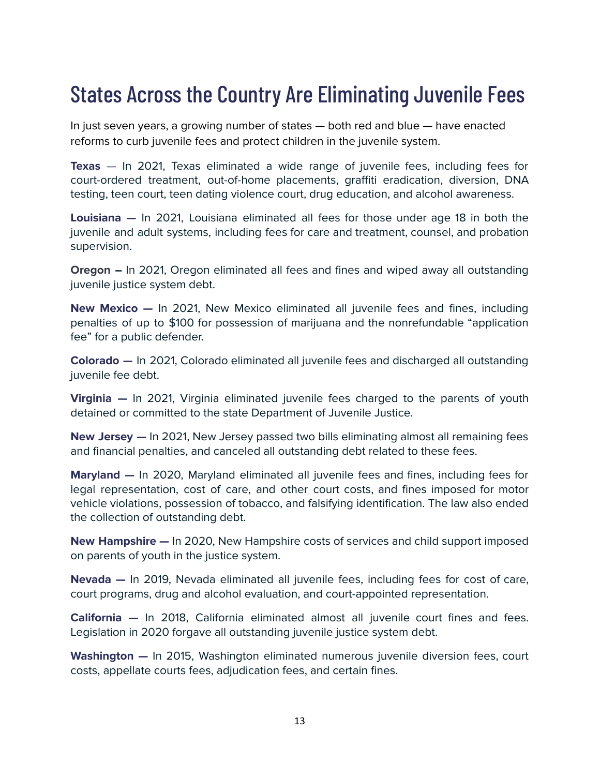## States Across the Country Are Eliminating Juvenile Fees

In just seven years, a growing number of states — both red and blue — have enacted reforms to curb juvenile fees and protect children in the juvenile system.

**Texas** — In 2021, Texas eliminated a wide range of juvenile fees, including fees for court-ordered treatment, out-of-home placements, graffiti eradication, diversion, DNA testing, teen court, teen dating violence court, drug education, and alcohol awareness.

**Louisiana —** In 2021, Louisiana eliminated all fees for those under age 18 in both the juvenile and adult systems, including fees for care and treatment, counsel, and probation supervision.

**Oregon –** In 2021, Oregon eliminated all fees and fines and wiped away all outstanding juvenile justice system debt.

**New Mexico —** In 2021, New Mexico eliminated all juvenile fees and fines, including penalties of up to \$100 for possession of marijuana and the nonrefundable "application fee" for a public defender.

**Colorado —** In 2021, Colorado eliminated all juvenile fees and discharged all outstanding juvenile fee debt.

**Virginia —** In 2021, Virginia eliminated juvenile fees charged to the parents of youth detained or committed to the state Department of Juvenile Justice.

**New Jersey —** In 2021, New Jersey passed two bills eliminating almost all remaining fees and financial penalties, and canceled all outstanding debt related to these fees.

**Maryland —** In 2020, Maryland eliminated all juvenile fees and fines, including fees for legal representation, cost of care, and other court costs, and fines imposed for motor vehicle violations, possession of tobacco, and falsifying identification. The law also ended the collection of outstanding debt.

**New Hampshire —** In 2020, New Hampshire costs of services and child support imposed on parents of youth in the justice system.

**Nevada —** In 2019, Nevada eliminated all juvenile fees, including fees for cost of care, court programs, drug and alcohol evaluation, and court-appointed representation.

**California —** In 2018, California eliminated almost all juvenile court fines and fees. Legislation in 2020 forgave all outstanding juvenile justice system debt.

**Washington —** In 2015, Washington eliminated numerous juvenile diversion fees, court costs, appellate courts fees, adjudication fees, and certain fines.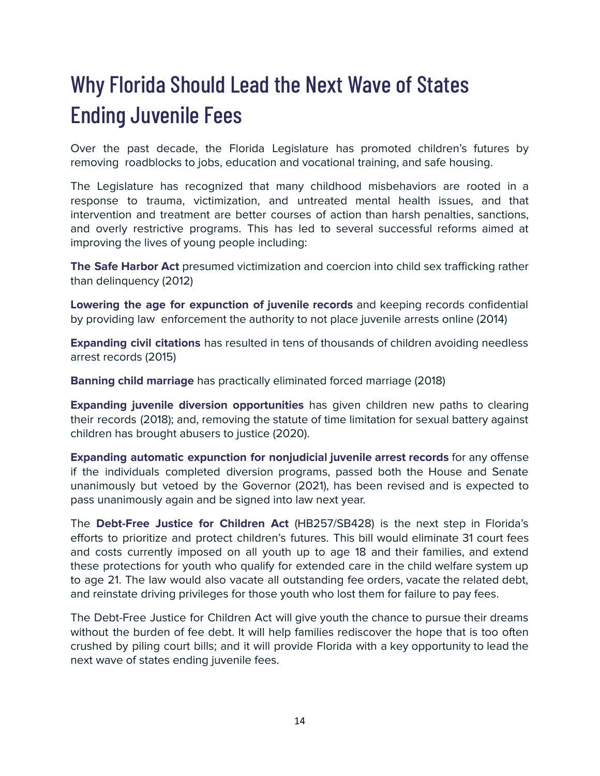# Why Florida Should Lead the Next Wave of States Ending Juvenile Fees

Over the past decade, the Florida Legislature has promoted children's futures by removing roadblocks to jobs, education and vocational training, and safe housing.

The Legislature has recognized that many childhood misbehaviors are rooted in a response to trauma, victimization, and untreated mental health issues, and that intervention and treatment are better courses of action than harsh penalties, sanctions, and overly restrictive programs. This has led to several successful reforms aimed at improving the lives of young people including:

**The Safe Harbor Act** presumed victimization and coercion into child sex trafficking rather than delinquency (2012)

**Lowering the age for expunction of juvenile records** and keeping records confidential by providing law enforcement the authority to not place juvenile arrests online (2014)

**Expanding civil citations** has resulted in tens of thousands of children avoiding needless arrest records (2015)

**Banning child marriage** has practically eliminated forced marriage (2018)

**Expanding juvenile diversion opportunities** has given children new paths to clearing their records (2018); and, removing the statute of time limitation for sexual battery against children has brought abusers to justice (2020).

**Expanding automatic expunction for nonjudicial juvenile arrest records** for any offense if the individuals completed diversion programs, passed both the House and Senate unanimously but vetoed by the Governor (2021), has been revised and is expected to pass unanimously again and be signed into law next year.

The **Debt-Free Justice for Children Act** (HB257/SB428) is the next step in Florida's efforts to prioritize and protect children's futures. This bill would eliminate 31 court fees and costs currently imposed on all youth up to age 18 and their families, and extend these protections for youth who qualify for extended care in the child welfare system up to age 21. The law would also vacate all outstanding fee orders, vacate the related debt, and reinstate driving privileges for those youth who lost them for failure to pay fees.

The Debt-Free Justice for Children Act will give youth the chance to pursue their dreams without the burden of fee debt. It will help families rediscover the hope that is too often crushed by piling court bills; and it will provide Florida with a key opportunity to lead the next wave of states ending juvenile fees.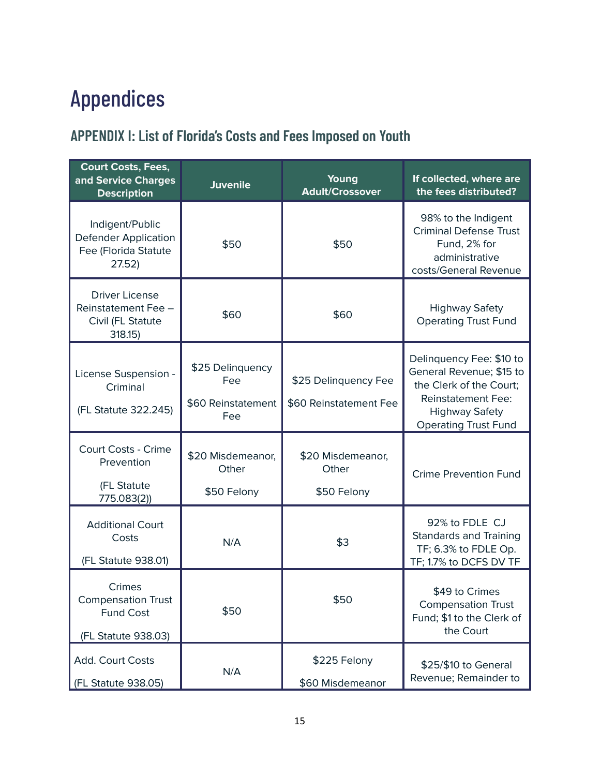# Appendices

## **APPENDIX I: List of Florida's Costs and Fees Imposed on Youth**

| <b>Court Costs, Fees,</b><br>and Service Charges<br><b>Description</b>           | <b>Juvenile</b>                                      | Young<br><b>Adult/Crossover</b>                | If collected, where are<br>the fees distributed?                                                                                                                     |  |
|----------------------------------------------------------------------------------|------------------------------------------------------|------------------------------------------------|----------------------------------------------------------------------------------------------------------------------------------------------------------------------|--|
| Indigent/Public<br><b>Defender Application</b><br>Fee (Florida Statute<br>27.52) | \$50                                                 | \$50                                           | 98% to the Indigent<br><b>Criminal Defense Trust</b><br>Fund, 2% for<br>administrative<br>costs/General Revenue                                                      |  |
| <b>Driver License</b><br>Reinstatement Fee -<br>Civil (FL Statute<br>318.15      | \$60                                                 | \$60                                           | <b>Highway Safety</b><br><b>Operating Trust Fund</b>                                                                                                                 |  |
| License Suspension -<br>Criminal<br>(FL Statute 322.245)                         | \$25 Delinquency<br>Fee<br>\$60 Reinstatement<br>Fee | \$25 Delinquency Fee<br>\$60 Reinstatement Fee | Delinquency Fee: \$10 to<br>General Revenue; \$15 to<br>the Clerk of the Court:<br><b>Reinstatement Fee:</b><br><b>Highway Safety</b><br><b>Operating Trust Fund</b> |  |
| Court Costs - Crime<br>Prevention<br>(FL Statute<br>775.083(2))                  | \$20 Misdemeanor,<br>Other<br>\$50 Felony            | \$20 Misdemeanor,<br>Other<br>\$50 Felony      | <b>Crime Prevention Fund</b>                                                                                                                                         |  |
| <b>Additional Court</b><br>Costs<br>(FL Statute 938.01)                          | N/A                                                  | \$3                                            | 92% to FDLE CJ<br><b>Standards and Training</b><br>TF; 6.3% to FDLE Op.<br>TF; 1.7% to DCFS DV TF                                                                    |  |
| Crimes<br><b>Compensation Trust</b><br><b>Fund Cost</b><br>(FL Statute 938.03)   | \$50                                                 | \$50                                           | \$49 to Crimes<br><b>Compensation Trust</b><br>Fund; \$1 to the Clerk of<br>the Court                                                                                |  |
| Add. Court Costs<br>N/A<br>(FL Statute 938.05)                                   |                                                      | \$225 Felony<br>\$60 Misdemeanor               | \$25/\$10 to General<br>Revenue; Remainder to                                                                                                                        |  |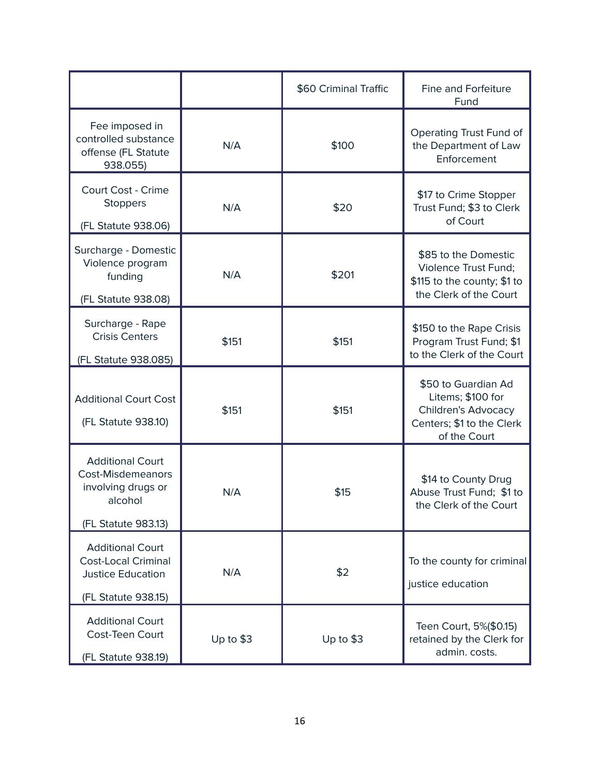|                                                                                                             |            | \$60 Criminal Traffic | Fine and Forfeiture<br>Fund                                                                                         |  |  |
|-------------------------------------------------------------------------------------------------------------|------------|-----------------------|---------------------------------------------------------------------------------------------------------------------|--|--|
| Fee imposed in<br>controlled substance<br>offense (FL Statute<br>938.055)                                   | N/A        | \$100                 | Operating Trust Fund of<br>the Department of Law<br>Enforcement                                                     |  |  |
| Court Cost - Crime<br><b>Stoppers</b><br>(FL Statute 938.06)                                                | N/A        | \$20                  | \$17 to Crime Stopper<br>Trust Fund; \$3 to Clerk<br>of Court                                                       |  |  |
| Surcharge - Domestic<br>Violence program<br>funding<br>(FL Statute 938.08)                                  | N/A        | \$201                 | \$85 to the Domestic<br><b>Violence Trust Fund:</b><br>\$115 to the county; \$1 to<br>the Clerk of the Court        |  |  |
| Surcharge - Rape<br><b>Crisis Centers</b><br>(FL Statute 938.085)                                           | \$151      | \$151                 | \$150 to the Rape Crisis<br>Program Trust Fund; \$1<br>to the Clerk of the Court                                    |  |  |
| <b>Additional Court Cost</b><br>(FL Statute 938.10)                                                         | \$151      | \$151                 | \$50 to Guardian Ad<br>Litems; \$100 for<br><b>Children's Advocacy</b><br>Centers; \$1 to the Clerk<br>of the Court |  |  |
| <b>Additional Court</b><br><b>Cost-Misdemeanors</b><br>involving drugs or<br>alcohol<br>(FL Statute 983.13) | N/A        | \$15                  | \$14 to County Drug<br>Abuse Trust Fund; \$1 to<br>the Clerk of the Court                                           |  |  |
| <b>Additional Court</b><br><b>Cost-Local Criminal</b><br><b>Justice Education</b><br>(FL Statute 938.15)    | N/A        | \$2                   | To the county for criminal<br>justice education                                                                     |  |  |
| <b>Additional Court</b><br>Cost-Teen Court<br>(FL Statute 938.19)                                           | Up to $$3$ | Up to $$3$            | Teen Court, 5%(\$0.15)<br>retained by the Clerk for<br>admin. costs.                                                |  |  |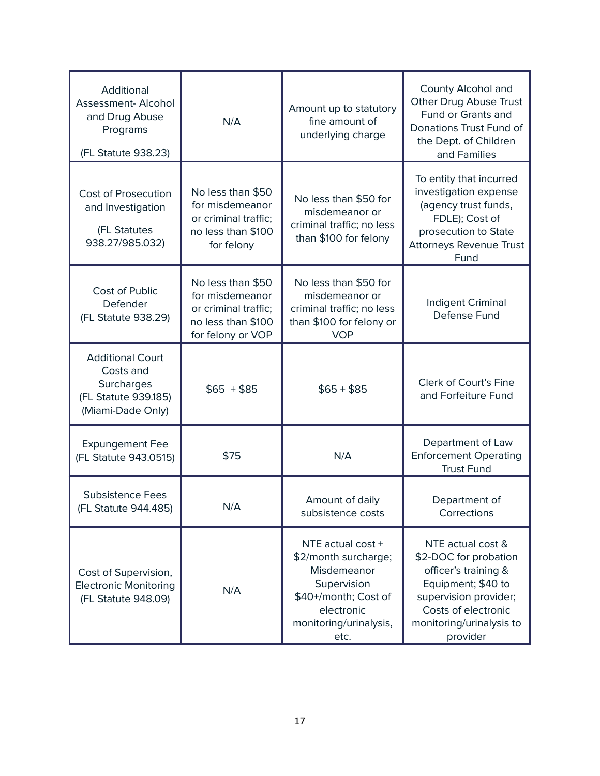| Additional<br>Assessment- Alcohol<br>and Drug Abuse<br>Programs<br>(FL Statute 938.23)          | N/A                                                                                                     | Amount up to statutory<br>fine amount of<br>underlying charge                                                                                   | County Alcohol and<br>Other Drug Abuse Trust<br>Fund or Grants and<br>Donations Trust Fund of<br>the Dept. of Children<br>and Families                                           |  |  |
|-------------------------------------------------------------------------------------------------|---------------------------------------------------------------------------------------------------------|-------------------------------------------------------------------------------------------------------------------------------------------------|----------------------------------------------------------------------------------------------------------------------------------------------------------------------------------|--|--|
| <b>Cost of Prosecution</b><br>and Investigation<br>(FL Statutes<br>938.27/985.032)              | No less than \$50<br>for misdemeanor<br>or criminal traffic;<br>no less than \$100<br>for felony        | No less than \$50 for<br>misdemeanor or<br>criminal traffic; no less<br>than \$100 for felony                                                   | To entity that incurred<br>investigation expense<br>(agency trust funds,<br>FDLE); Cost of<br>prosecution to State<br><b>Attorneys Revenue Trust</b><br>Fund                     |  |  |
| <b>Cost of Public</b><br>Defender<br>(FL Statute 938.29)                                        | No less than \$50<br>for misdemeanor<br>or criminal traffic;<br>no less than \$100<br>for felony or VOP | No less than \$50 for<br>misdemeanor or<br>criminal traffic; no less<br>than \$100 for felony or<br><b>VOP</b>                                  | Indigent Criminal<br>Defense Fund                                                                                                                                                |  |  |
| <b>Additional Court</b><br>Costs and<br>Surcharges<br>(FL Statute 939.185)<br>(Miami-Dade Only) | $$65 + $85$                                                                                             | $$65 + $85$                                                                                                                                     | Clerk of Court's Fine<br>and Forfeiture Fund                                                                                                                                     |  |  |
| <b>Expungement Fee</b><br>(FL Statute 943.0515)                                                 | \$75                                                                                                    | N/A                                                                                                                                             | Department of Law<br><b>Enforcement Operating</b><br><b>Trust Fund</b>                                                                                                           |  |  |
| <b>Subsistence Fees</b><br>(FL Statute 944.485)                                                 | N/A                                                                                                     | Amount of daily<br>subsistence costs                                                                                                            | Department of<br>Corrections                                                                                                                                                     |  |  |
| Cost of Supervision,<br><b>Electronic Monitoring</b><br>(FL Statute 948.09)                     | N/A                                                                                                     | NTE actual cost +<br>\$2/month surcharge;<br>Misdemeanor<br>Supervision<br>\$40+/month; Cost of<br>electronic<br>monitoring/urinalysis,<br>etc. | NTE actual cost &<br>\$2-DOC for probation<br>officer's training &<br>Equipment; \$40 to<br>supervision provider;<br>Costs of electronic<br>monitoring/urinalysis to<br>provider |  |  |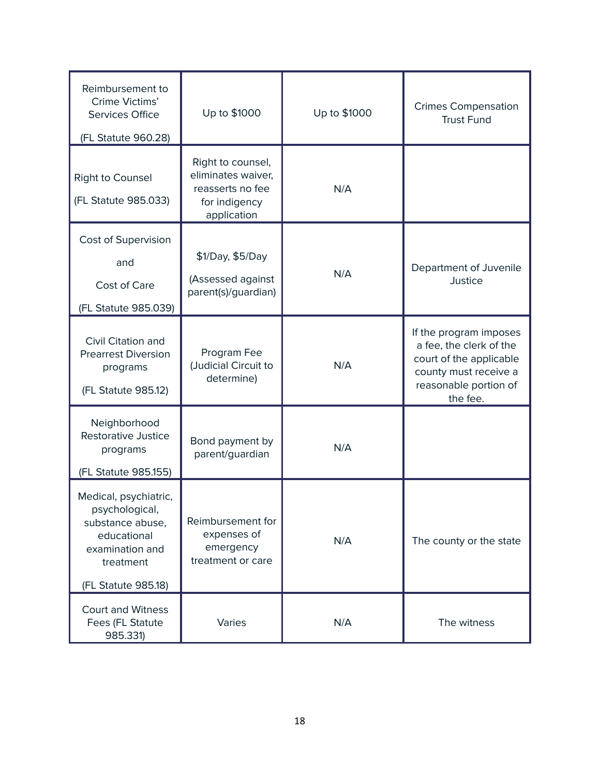| Reimbursement to<br>Crime Victims'<br><b>Services Office</b>                                                                      | Up to \$1000                                                                                | Up to \$1000 | <b>Crimes Compensation</b><br><b>Trust Fund</b>                                                                                            |  |  |
|-----------------------------------------------------------------------------------------------------------------------------------|---------------------------------------------------------------------------------------------|--------------|--------------------------------------------------------------------------------------------------------------------------------------------|--|--|
| (FL Statute 960.28)<br><b>Right to Counsel</b><br>(FL Statute 985.033)                                                            | Right to counsel,<br>eliminates waiver,<br>reasserts no fee<br>for indigency<br>application | N/A          |                                                                                                                                            |  |  |
| Cost of Supervision<br>and<br>Cost of Care<br>(FL Statute 985.039)                                                                | \$1/Day, \$5/Day<br>(Assessed against<br>parent(s)/guardian)                                | N/A          | Department of Juvenile<br>Justice                                                                                                          |  |  |
| Civil Citation and<br><b>Prearrest Diversion</b><br>programs<br>(FL Statute 985.12)                                               | Program Fee<br>(Judicial Circuit to<br>determine)                                           | N/A          | If the program imposes<br>a fee, the clerk of the<br>court of the applicable<br>county must receive a<br>reasonable portion of<br>the fee. |  |  |
| Neighborhood<br>Restorative Justice<br>programs<br>(FL Statute 985.155)                                                           | Bond payment by<br>parent/guardian                                                          | N/A          |                                                                                                                                            |  |  |
| Medical, psychiatric,<br>psychological,<br>substance abuse,<br>educational<br>examination and<br>treatment<br>(FL Statute 985.18) | Reimbursement for<br>expenses of<br>emergency<br>treatment or care                          | N/A          | The county or the state                                                                                                                    |  |  |
| <b>Court and Witness</b><br>Fees (FL Statute<br>985.331)                                                                          | Varies                                                                                      | N/A          | The witness                                                                                                                                |  |  |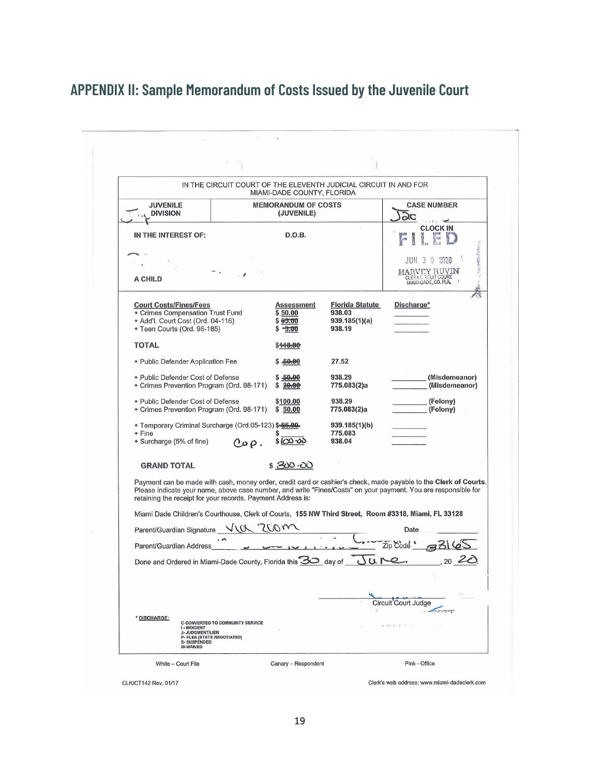### **APPENDIX II: Sample Memorandum of Costs Issued by the Juvenile Court**

|                                                                                                                                     |                                         | MIAMI-DADE COUNTY, FLORIDA                        | IN THE CIRCUIT COURT OF THE ELEVENTH JUDICIAL CIRCUIT IN AND FOR |                                                                                                                                                                                                                                    |
|-------------------------------------------------------------------------------------------------------------------------------------|-----------------------------------------|---------------------------------------------------|------------------------------------------------------------------|------------------------------------------------------------------------------------------------------------------------------------------------------------------------------------------------------------------------------------|
| <b>JUVENILE</b><br><b>DIVISION</b>                                                                                                  |                                         | <b>MEMORANDUM OF COSTS</b><br>(JUVENILE)          |                                                                  | <b>CASE NUMBER</b><br>$\alpha c$                                                                                                                                                                                                   |
| IN THE INTEREST OF:                                                                                                                 |                                         | D.O.B.                                            |                                                                  | <b>CLOCK IN</b><br>$\int_{0}^{\infty}$<br>$\mathbb{R}^m$                                                                                                                                                                           |
| A CHILD                                                                                                                             |                                         |                                                   |                                                                  | JUN 3 0 2020<br>HARVEY RUVIN<br>CLERK CROUIT COURT                                                                                                                                                                                 |
| <b>Court Costs/Fines/Fees</b><br>Crimes Compensation Trust Fund<br>* Add'l. Court Cost (Ord. 04-116)<br>* Teen Courts (Ord. 98-185) |                                         | Assessment<br>\$50.00<br>\$65.00<br>$-5.00$<br>\$ | <b>Florida Statute</b><br>938.03<br>939.185(1)(a)<br>938.19      | Discharge*                                                                                                                                                                                                                         |
| <b>TOTAL</b>                                                                                                                        |                                         | \$ <del>118.00</del>                              |                                                                  |                                                                                                                                                                                                                                    |
| * Public Defender Application Fee                                                                                                   |                                         | \$ <del>50.0</del> 0                              | 27.52                                                            |                                                                                                                                                                                                                                    |
| * Public Defender Cost of Defense<br>* Crimes Prevention Program (Ord. 98-171)                                                      |                                         | \$50.00<br>\$20.00                                | 938.29<br>775.083(2)a                                            | (Misdemeanor)<br>(Misdemeanor)                                                                                                                                                                                                     |
| * Public Defender Cost of Defense<br>• Crimes Prevention Program (Ord. 98-171)                                                      |                                         | \$100.00<br>\$50.00                               | 938.29<br>775.083(2)a                                            | (Felony)<br>(Felony)                                                                                                                                                                                                               |
| • Temporary Criminal Surcharge (Ord.05-123) \$-85.00.<br>◆ Fine<br>* Surcharge (5% of fine)                                         | $Co\rho$ .                              | $$CO$ -00                                         | 939.185(1)(b)<br>775.083<br>938.04                               |                                                                                                                                                                                                                                    |
| <b>GRAND TOTAL</b>                                                                                                                  |                                         | \$300.00                                          |                                                                  |                                                                                                                                                                                                                                    |
| retaining the receipt for your records. Payment Address is:                                                                         |                                         |                                                   |                                                                  | Payment can be made with cash, money order, credit card or cashier's check, made payable to the Clerk of Courts.<br>Please indicate your name, above case number, and write "Fines/Costs" on your payment. You are responsible for |
| Miami Dade Children's Courthouse, Clerk of Courts, 155 NW Third Street, Room #3318, Miami, FL 33128                                 |                                         |                                                   |                                                                  |                                                                                                                                                                                                                                    |
| Parent/Guardian Signature VU                                                                                                        |                                         |                                                   |                                                                  | Date                                                                                                                                                                                                                               |
| Parent/Guardian Address                                                                                                             |                                         |                                                   |                                                                  | Zip Code<br>33165<br>2020                                                                                                                                                                                                          |
| Done and Ordered in Miami-Dade County, Florida this 30 day of                                                                       |                                         |                                                   | Jure                                                             |                                                                                                                                                                                                                                    |
|                                                                                                                                     |                                         |                                                   |                                                                  |                                                                                                                                                                                                                                    |
| * DISCHARGE:<br><b>I-INDIGENT</b><br><b>J-JUDGMENT/LIEN</b><br>P- PLEA (STATE NEGOTIATED)                                           | <b>C-CONVERTED TO COMMUNITY SERVICE</b> |                                                   |                                                                  | Circuit Court Judge                                                                                                                                                                                                                |
| <b>S-SUSPENDED</b><br>W-WAIVED                                                                                                      |                                         |                                                   |                                                                  |                                                                                                                                                                                                                                    |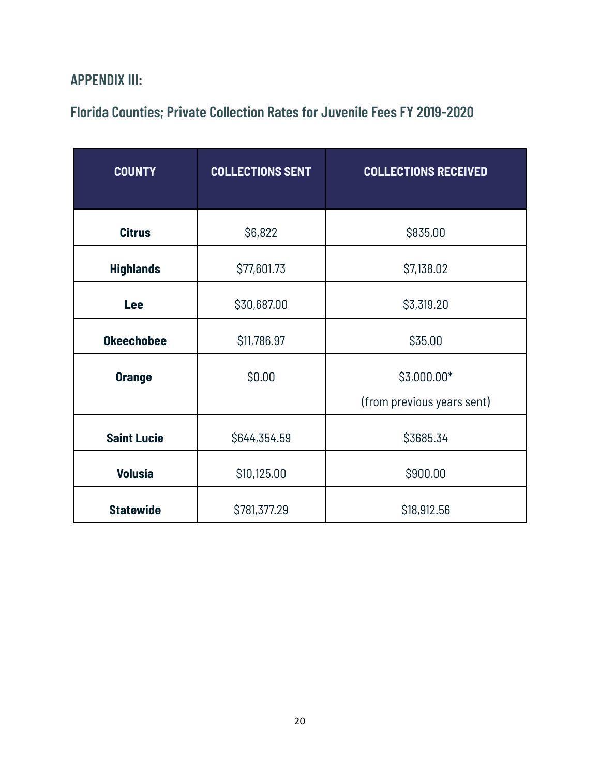#### **APPENDIX III:**

#### **Florida Counties; Private Collection Rates for Juvenile Fees FY 2019-2020**

| <b>COUNTY</b>      | <b>COLLECTIONS SENT</b> | <b>COLLECTIONS RECEIVED</b> |  |  |  |
|--------------------|-------------------------|-----------------------------|--|--|--|
|                    |                         |                             |  |  |  |
| <b>Citrus</b>      | \$6,822                 | \$835.00                    |  |  |  |
| <b>Highlands</b>   | \$77,601.73             | \$7,138.02                  |  |  |  |
| Lee                | \$30,687.00             | \$3,319.20                  |  |  |  |
| <b>Okeechobee</b>  | \$11,786.97             | \$35.00                     |  |  |  |
| <b>Orange</b>      | \$0.00                  | \$3,000.00*                 |  |  |  |
|                    |                         | (from previous years sent)  |  |  |  |
| <b>Saint Lucie</b> | \$644,354.59            | \$3685.34                   |  |  |  |
| <b>Volusia</b>     | \$10,125.00             | \$900.00                    |  |  |  |
| <b>Statewide</b>   | \$781,377.29            | \$18,912.56                 |  |  |  |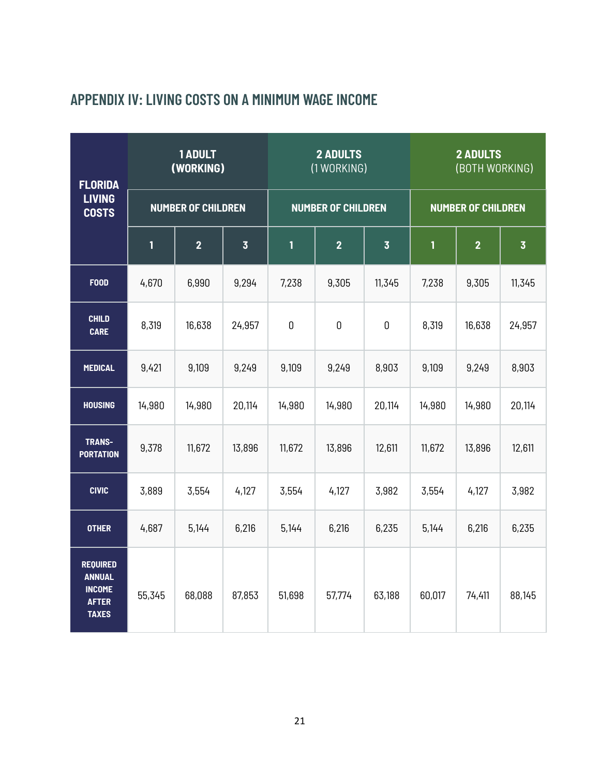| <b>FLORIDA</b>                                                                    |                           | 1 ADULT<br>(WORKING) |                | <b>2 ADULTS</b><br>(1 WORKING) |                |                         | <b>2 ADULTS</b><br>(BOTH WORKING) |                |                         |
|-----------------------------------------------------------------------------------|---------------------------|----------------------|----------------|--------------------------------|----------------|-------------------------|-----------------------------------|----------------|-------------------------|
| <b>LIVING</b><br><b>COSTS</b>                                                     | <b>NUMBER OF CHILDREN</b> |                      |                | <b>NUMBER OF CHILDREN</b>      |                |                         | <b>NUMBER OF CHILDREN</b>         |                |                         |
|                                                                                   | 1                         | $\overline{2}$       | $\overline{3}$ | 1                              | $\overline{2}$ | $\overline{\mathbf{3}}$ | 1                                 | $\overline{2}$ | $\overline{\mathbf{3}}$ |
| <b>FOOD</b>                                                                       | 4,670                     | 6,990                | 9,294          | 7,238                          | 9,305          | 11,345                  | 7,238                             | 9,305          | 11,345                  |
| <b>CHILD</b><br><b>CARE</b>                                                       | 8,319                     | 16,638               | 24,957         | $\mathbf 0$                    | $\mathbf 0$    | $\mathbf 0$             | 8,319                             | 16,638         | 24,957                  |
| <b>MEDICAL</b>                                                                    | 9,421                     | 9,109                | 9,249          | 9,109                          | 9,249          | 8,903                   | 9,109                             | 9,249          | 8,903                   |
| <b>HOUSING</b>                                                                    | 14,980                    | 14,980               | 20,114         | 14,980                         | 14,980         | 20,114                  | 14,980                            | 14,980         | 20,114                  |
| TRANS-<br><b>PORTATION</b>                                                        | 9,378                     | 11,672               | 13,896         | 11,672                         | 13,896         | 12,611                  | 11,672                            | 13,896         | 12,611                  |
| <b>CIVIC</b>                                                                      | 3,889                     | 3,554                | 4,127          | 3,554                          | 4,127          | 3,982                   | 3,554                             | 4,127          | 3,982                   |
| <b>OTHER</b>                                                                      | 4,687                     | 5,144                | 6,216          | 5,144                          | 6,216          | 6,235                   | 5,144                             | 6,216          | 6,235                   |
| <b>REQUIRED</b><br><b>ANNUAL</b><br><b>INCOME</b><br><b>AFTER</b><br><b>TAXES</b> | 55,345                    | 68,088               | 87,853         | 51,698                         | 57,774         | 63,188                  | 60,017                            | 74,411         | 88,145                  |

#### **APPENDIX IV: LIVING COSTS ON A MINIMUM WAGE INCOME**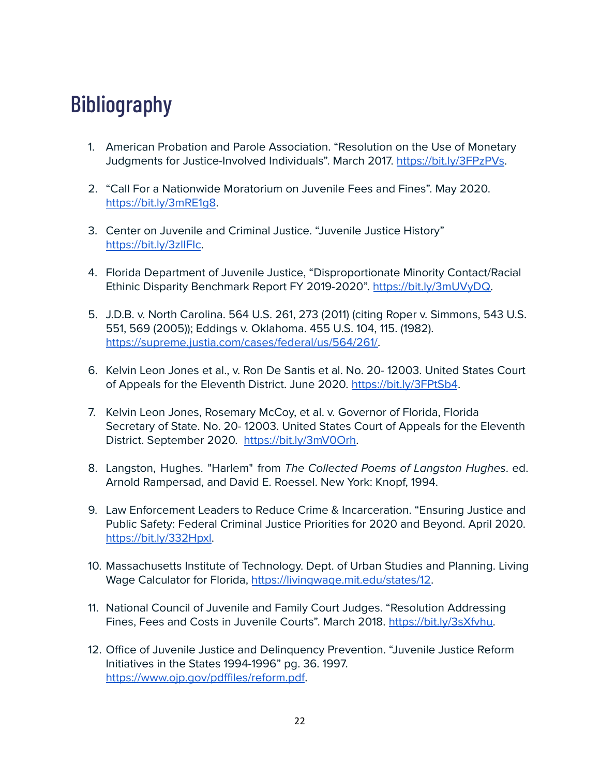# **Bibliography**

- 1. American Probation and Parole Association. "Resolution on the Use of Monetary Judgments for Justice-Involved Individuals". March 2017. [https://bit.ly/3FPzPVs.](https://bit.ly/3FPzPVs)
- 2. "Call For a Nationwide Moratorium on Juvenile Fees and Fines". May 2020. <https://bit.ly/3mRE1g8>.
- 3. Center on Juvenile and Criminal Justice. "Juvenile Justice History" <https://bit.ly/3zlIFIc>.
- 4. Florida Department of Juvenile Justice, "Disproportionate Minority Contact/Racial Ethinic Disparity Benchmark Report FY 2019-2020". [https://bit.ly/3mUVyDQ.](https://bit.ly/3mUVyDQ)
- 5. J.D.B. v. North Carolina. 564 U.S. 261, 273 (2011) (citing Roper v. Simmons, 543 U.S. 551, 569 (2005)); Eddings v. Oklahoma. 455 U.S. 104, 115. (1982). [https://supreme.justia.com/cases/federal/us/564/261/.](https://supreme.justia.com/cases/federal/us/564/261/)
- 6. Kelvin Leon Jones et al., v. Ron De Santis et al. No. 20- 12003. United States Court of Appeals for the Eleventh District. June 2020. <https://bit.ly/3FPtSb4>.
- 7. Kelvin Leon Jones, Rosemary McCoy, et al. v. Governor of Florida, Florida Secretary of State. No. 20- 12003. United States Court of Appeals for the Eleventh District. September 2020. [https://bit.ly/3mV0Orh.](https://bit.ly/3mV0Orh)
- 8. Langston, Hughes. "Harlem" from The Collected Poems of Langston Hughes. ed. Arnold Rampersad, and David E. Roessel. New York: Knopf, 1994.
- 9. Law Enforcement Leaders to Reduce Crime & Incarceration. "Ensuring Justice and Public Safety: Federal Criminal Justice Priorities for 2020 and Beyond. April 2020. [https://bit.ly/332Hpxl.](https://bit.ly/332Hpxl)
- 10. Massachusetts Institute of Technology. Dept. of Urban Studies and Planning. Living Wage Calculator for Florida, [https://livingwage.mit.edu/states/12.](https://livingwage.mit.edu/states/12)
- 11. National Council of Juvenile and Family Court Judges. "Resolution Addressing Fines, Fees and Costs in Juvenile Courts". March 2018. <https://bit.ly/3sXfvhu>.
- 12. Office of Juvenile Justice and Delinquency Prevention. "Juvenile Justice Reform Initiatives in the States 1994-1996" pg. 36. 1997. <https://www.ojp.gov/pdffiles/reform.pdf>.